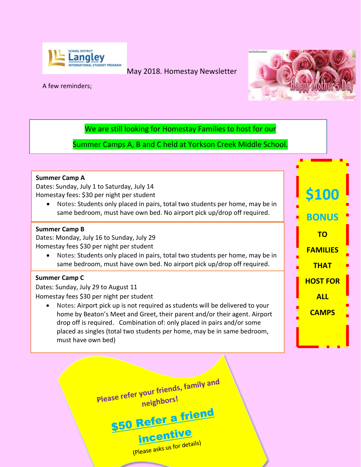

## May 2018. Homestay Newsletter



**\$100**

**BONUS**

**TO** 

**FAMILIES** 

**THAT** 

**HOST FOR**

**ALL** 

**CAMPS**

### A few reminders;

We are still looking for Homestay Families to host for our

Summer Camps A, B and C held at Yorkson Creek Middle School.

### **Summer Camp A**

Dates: Sunday, July 1 to Saturday, July 14 Homestay fees: \$30 per night per student

 Notes: Students only placed in pairs, total two students per home, may be in same bedroom, must have own bed. No airport pick up/drop off required.

### **Summer Camp B**

Dates: Monday, July 16 to Sunday, July 29 Homestay fees \$30 per night per student

 Notes: Students only placed in pairs, total two students per home, may be in same bedroom, must have own bed. No airport pick up/drop off required.

### **Summer Camp C**

Dates: Sunday, July 29 to August 11 Homestay fees \$30 per night per student

 Notes: Airport pick up is not required as students will be delivered to your home by Beaton's Meet and Greet, their parent and/or their agent. Airport drop off is required. Combination of: only placed in pairs and/or some placed as singles (total two students per home, may be in same bedroom, must have own bed)